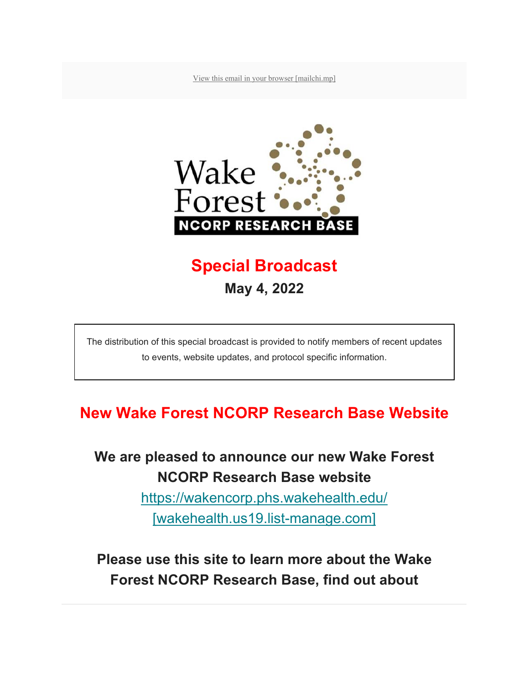View this email in your browser [mailchi.mp]



# **Special Broadcast May 4, 2022**

The distribution of this special broadcast is provided to notify members of recent updates to events, website updates, and protocol specific information.

# **New Wake Forest NCORP Research Base Website**

**We are pleased to announce our new Wake Forest NCORP Research Base website** 

> https://wakencorp.phs.wakehealth.edu/ [wakehealth.us19.list-manage.com]

**Please use this site to learn more about the Wake Forest NCORP Research Base, find out about**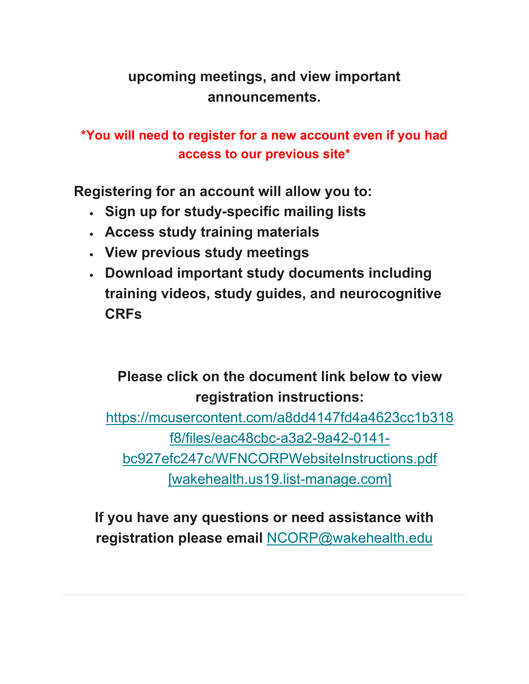### **upcoming meetings, and view important announcements.**

#### **\*You will need to register for a new account even if you had access to our previous site\***

**Registering for an account will allow you to:** 

- **Sign up for study-specific mailing lists**
- **Access study training materials**
- **View previous study meetings**
- **Download important study documents including training videos, study guides, and neurocognitive CRFs**

# **Please click on the document link below to view registration instructions:**

https://mcusercontent.com/a8dd4147fd4a4623cc1b318 f8/files/eac48cbc-a3a2-9a42-0141 bc927efc247c/WFNCORPWebsiteInstructions.pdf [wakehealth.us19.list-manage.com]

**If you have any questions or need assistance with registration please email** NCORP@wakehealth.edu